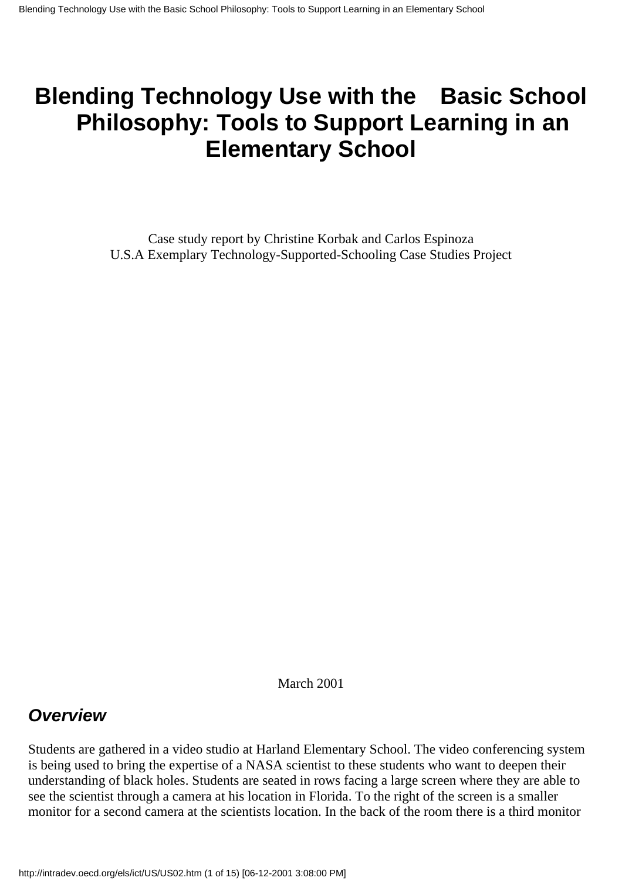# **Blending Technology Use with the Basic School Philosophy: Tools to Support Learning in an Elementary School**

Case study report by Christine Korbak and Carlos Espinoza U.S.A Exemplary Technology-Supported-Schooling Case Studies Project

March 2001

### *Overview*

Students are gathered in a video studio at Harland Elementary School. The video conferencing system is being used to bring the expertise of a NASA scientist to these students who want to deepen their understanding of black holes. Students are seated in rows facing a large screen where they are able to see the scientist through a camera at his location in Florida. To the right of the screen is a smaller monitor for a second camera at the scientist s location. In the back of the room there is a third monitor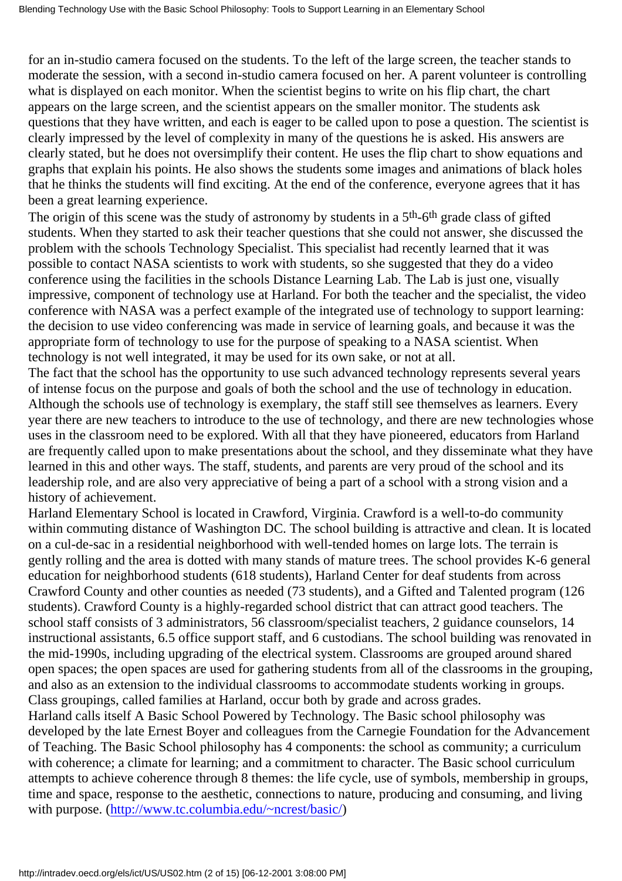for an in-studio camera focused on the students. To the left of the large screen, the teacher stands to moderate the session, with a second in-studio camera focused on her. A parent volunteer is controlling what is displayed on each monitor. When the scientist begins to write on his flip chart, the chart appears on the large screen, and the scientist appears on the smaller monitor. The students ask questions that they have written, and each is eager to be called upon to pose a question. The scientist is clearly impressed by the level of complexity in many of the questions he is asked. His answers are clearly stated, but he does not oversimplify their content. He uses the flip chart to show equations and graphs that explain his points. He also shows the students some images and animations of black holes that he thinks the students will find exciting. At the end of the conference, everyone agrees that it has been a great learning experience.

The origin of this scene was the study of astronomy by students in a 5<sup>th</sup>-6<sup>th</sup> grade class of gifted students. When they started to ask their teacher questions that she could not answer, she discussed the problem with the schools Technology Specialist. This specialist had recently learned that it was possible to contact NASA scientists to work with students, so she suggested that they do a video conference using the facilities in the schools Distance Learning Lab. The Lab is just one, visually impressive, component of technology use at Harland. For both the teacher and the specialist, the video conference with NASA was a perfect example of the integrated use of technology to support learning: the decision to use video conferencing was made in service of learning goals, and because it was the appropriate form of technology to use for the purpose of speaking to a NASA scientist. When technology is not well integrated, it may be used for its own sake, or not at all.

The fact that the school has the opportunity to use such advanced technology represents several years of intense focus on the purpose and goals of both the school and the use of technology in education. Although the school s use of technology is exemplary, the staff still see themselves as learners. Every year there are new teachers to introduce to the use of technology, and there are new technologies whose uses in the classroom need to be explored. With all that they have pioneered, educators from Harland are frequently called upon to make presentations about the school, and they disseminate what they have learned in this and other ways. The staff, students, and parents are very proud of the school and its leadership role, and are also very appreciative of being a part of a school with a strong vision and a history of achievement.

Harland Elementary School is located in Crawford, Virginia. Crawford is a well-to-do community within commuting distance of Washington DC. The school building is attractive and clean. It is located on a cul-de-sac in a residential neighborhood with well-tended homes on large lots. The terrain is gently rolling and the area is dotted with many stands of mature trees. The school provides K-6 general education for neighborhood students (618 students), Harland Center for deaf students from across Crawford County and other counties as needed (73 students), and a Gifted and Talented program (126 students). Crawford County is a highly-regarded school district that can attract good teachers. The school staff consists of 3 administrators, 56 classroom/specialist teachers, 2 guidance counselors, 14 instructional assistants, 6.5 office support staff, and 6 custodians. The school building was renovated in the mid-1990s, including upgrading of the electrical system. Classrooms are grouped around shared open spaces; the open spaces are used for gathering students from all of the classrooms in the grouping, and also as an extension to the individual classrooms to accommodate students working in groups. Class groupings, called families at Harland, occur both by grade and across grades.

Harland calls itself A Basic School Powered by Technology. The Basic school philosophy was developed by the late Ernest Boyer and colleagues from the Carnegie Foundation for the Advancement of Teaching. The Basic School philosophy has 4 components: the school as community; a curriculum with coherence; a climate for learning; and a commitment to character. The Basic school curriculum attempts to achieve coherence through 8 themes: the life cycle, use of symbols, membership in groups, time and space, response to the aesthetic, connections to nature, producing and consuming, and living with purpose. (<http://www.tc.columbia.edu/~ncrest/basic/>)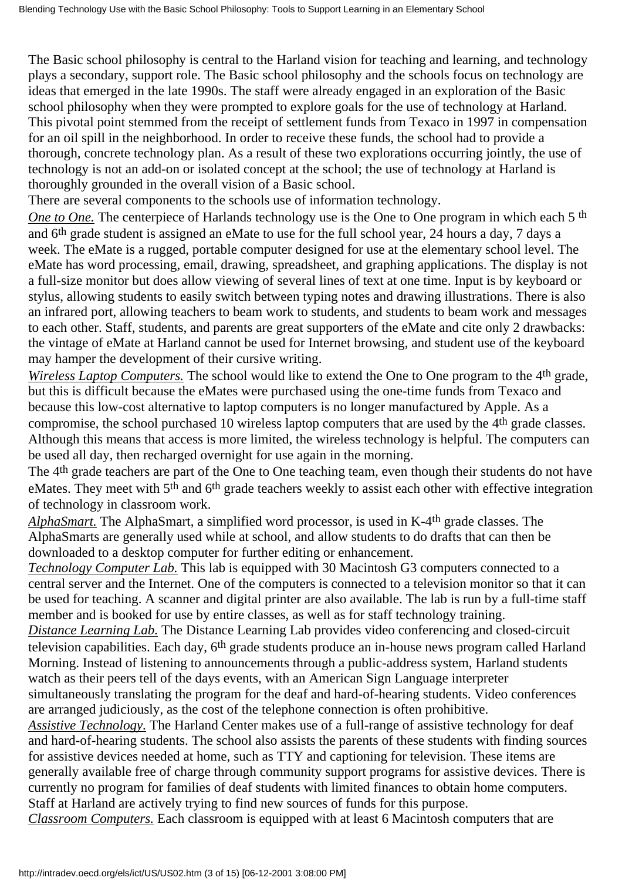The Basic school philosophy is central to the Harland vision for teaching and learning, and technology plays a secondary, support role. The Basic school philosophy and the schools focus on technology are ideas that emerged in the late 1990s. The staff were already engaged in an exploration of the Basic school philosophy when they were prompted to explore goals for the use of technology at Harland. This pivotal point stemmed from the receipt of settlement funds from Texaco in 1997 in compensation for an oil spill in the neighborhood. In order to receive these funds, the school had to provide a thorough, concrete technology plan. As a result of these two explorations occurring jointly, the use of technology is not an add-on or isolated concept at the school; the use of technology at Harland is thoroughly grounded in the overall vision of a Basic school.

There are several components to the school s use of information technology.

*One to One.* The centerpiece of Harland s technology use is the One to One program in which each 5<sup>th</sup> and 6th grade student is assigned an eMate to use for the full school year, 24 hours a day, 7 days a week. The eMate is a rugged, portable computer designed for use at the elementary school level. The eMate has word processing, email, drawing, spreadsheet, and graphing applications. The display is not a full-size monitor but does allow viewing of several lines of text at one time. Input is by keyboard or stylus, allowing students to easily switch between typing notes and drawing illustrations. There is also an infrared port, allowing teachers to beam work to students, and students to beam work and messages to each other. Staff, students, and parents are great supporters of the eMate and cite only 2 drawbacks: the vintage of eMate at Harland cannot be used for Internet browsing, and student use of the keyboard may hamper the development of their cursive writing.

*Wireless Laptop Computers.* The school would like to extend the One to One program to the 4<sup>th</sup> grade, but this is difficult because the eMates were purchased using the one-time funds from Texaco and because this low-cost alternative to laptop computers is no longer manufactured by Apple. As a compromise, the school purchased 10 wireless laptop computers that are used by the 4th grade classes. Although this means that access is more limited, the wireless technology is helpful. The computers can be used all day, then recharged overnight for use again in the morning.

The 4<sup>th</sup> grade teachers are part of the One to One teaching team, even though their students do not have eMates. They meet with 5<sup>th</sup> and 6<sup>th</sup> grade teachers weekly to assist each other with effective integration of technology in classroom work.

*AlphaSmart.* The AlphaSmart, a simplified word processor, is used in K-4th grade classes. The AlphaSmarts are generally used while at school, and allow students to do drafts that can then be downloaded to a desktop computer for further editing or enhancement.

*Technology Computer Lab.* This lab is equipped with 30 Macintosh G3 computers connected to a central server and the Internet. One of the computers is connected to a television monitor so that it can be used for teaching. A scanner and digital printer are also available. The lab is run by a full-time staff member and is booked for use by entire classes, as well as for staff technology training.

*Distance Learning Lab.* The Distance Learning Lab provides video conferencing and closed-circuit television capabilities. Each day, 6<sup>th</sup> grade students produce an in-house news program called Harland Morning. Instead of listening to announcements through a public-address system, Harland students watch as their peers tell of the day s events, with an American Sign Language interpreter

simultaneously translating the program for the deaf and hard-of-hearing students. Video conferences are arranged judiciously, as the cost of the telephone connection is often prohibitive.

*Assistive Technology.* The Harland Center makes use of a full-range of assistive technology for deaf and hard-of-hearing students. The school also assists the parents of these students with finding sources for assistive devices needed at home, such as TTY and captioning for television. These items are generally available free of charge through community support programs for assistive devices. There is currently no program for families of deaf students with limited finances to obtain home computers. Staff at Harland are actively trying to find new sources of funds for this purpose.

*Classroom Computers.* Each classroom is equipped with at least 6 Macintosh computers that are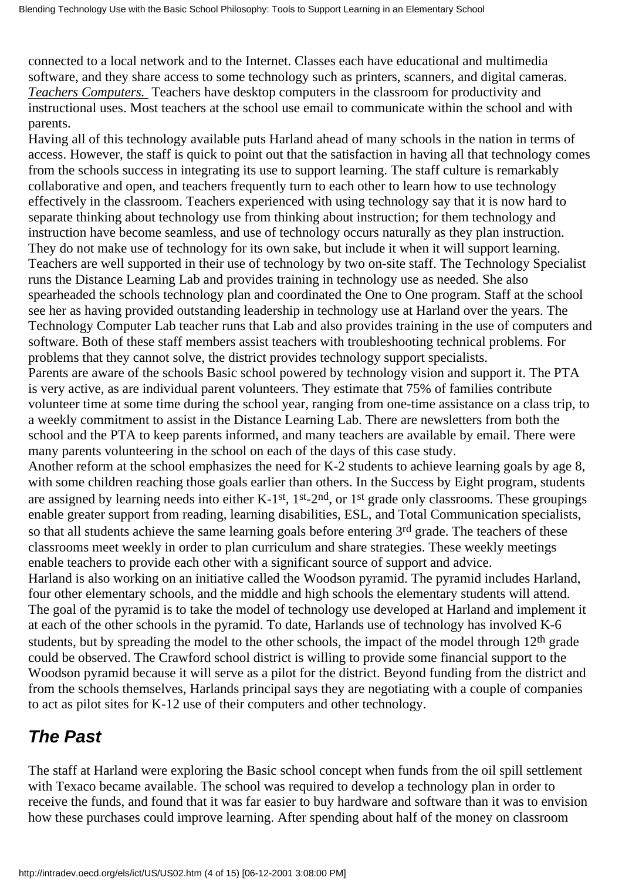connected to a local network and to the Internet. Classes each have educational and multimedia software, and they share access to some technology such as printers, scanners, and digital cameras. *Teachers Computers.* Teachers have desktop computers in the classroom for productivity and instructional uses. Most teachers at the school use email to communicate within the school and with parents.

Having all of this technology available puts Harland ahead of many schools in the nation in terms of access. However, the staff is quick to point out that the satisfaction in having all that technology comes from the school s success in integrating its use to support learning. The staff culture is remarkably collaborative and open, and teachers frequently turn to each other to learn how to use technology effectively in the classroom. Teachers experienced with using technology say that it is now hard to separate thinking about technology use from thinking about instruction; for them technology and instruction have become seamless, and use of technology occurs naturally as they plan instruction. They do not make use of technology for its own sake, but include it when it will support learning. Teachers are well supported in their use of technology by two on-site staff. The Technology Specialist runs the Distance Learning Lab and provides training in technology use as needed. She also spearheaded the school s technology plan and coordinated the One to One program. Staff at the school see her as having provided outstanding leadership in technology use at Harland over the years. The Technology Computer Lab teacher runs that Lab and also provides training in the use of computers and software. Both of these staff members assist teachers with troubleshooting technical problems. For problems that they cannot solve, the district provides technology support specialists.

Parents are aware of the schools Basic school powered by technology vision and support it. The PTA is very active, as are individual parent volunteers. They estimate that 75% of families contribute volunteer time at some time during the school year, ranging from one-time assistance on a class trip, to a weekly commitment to assist in the Distance Learning Lab. There are newsletters from both the school and the PTA to keep parents informed, and many teachers are available by email. There were many parents volunteering in the school on each of the days of this case study.

Another reform at the school emphasizes the need for K-2 students to achieve learning goals by age 8, with some children reaching those goals earlier than others. In the Success by Eight program, students are assigned by learning needs into either K-1st, 1st-2nd, or 1st grade only classrooms. These groupings enable greater support from reading, learning disabilities, ESL, and Total Communication specialists, so that all students achieve the same learning goals before entering 3<sup>rd</sup> grade. The teachers of these classrooms meet weekly in order to plan curriculum and share strategies. These weekly meetings enable teachers to provide each other with a significant source of support and advice.

Harland is also working on an initiative called the Woodson pyramid. The pyramid includes Harland, four other elementary schools, and the middle and high schools the elementary students will attend. The goal of the pyramid is to take the model of technology use developed at Harland and implement it at each of the other schools in the pyramid. To date, Harland s use of technology has involved K-6 students, but by spreading the model to the other schools, the impact of the model through 12<sup>th</sup> grade could be observed. The Crawford school district is willing to provide some financial support to the Woodson pyramid because it will serve as a pilot for the district. Beyond funding from the district and from the schools themselves, Harland s principal says they are negotiating with a couple of companies to act as pilot sites for K-12 use of their computers and other technology.

### *The Past*

The staff at Harland were exploring the Basic school concept when funds from the oil spill settlement with Texaco became available. The school was required to develop a technology plan in order to receive the funds, and found that it was far easier to buy hardware and software than it was to envision how these purchases could improve learning. After spending about half of the money on classroom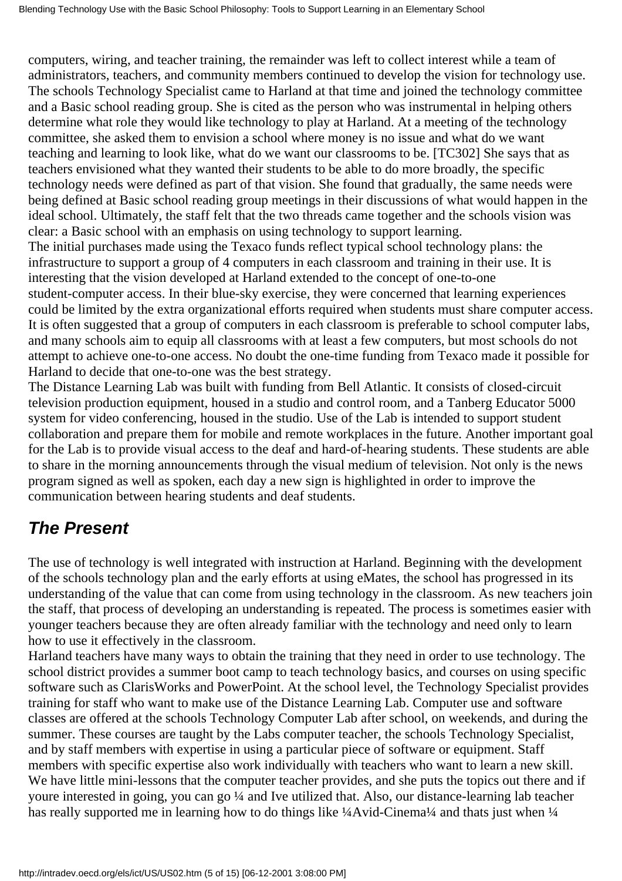computers, wiring, and teacher training, the remainder was left to collect interest while a team of administrators, teachers, and community members continued to develop the vision for technology use. The school s Technology Specialist came to Harland at that time and joined the technology committee and a Basic school reading group. She is cited as the person who was instrumental in helping others determine what role they would like technology to play at Harland. At a meeting of the technology committee, she asked them to envision a school where money is no issue and what do we want teaching and learning to look like, what do we want our classrooms to be. [TC302] She says that as teachers envisioned what they wanted their students to be able to do more broadly, the specific technology needs were defined as part of that vision. She found that gradually, the same needs were being defined at Basic school reading group meetings in their discussions of what would happen in the ideal school. Ultimately, the staff felt that the two threads came together and the school s vision was clear: a Basic school with an emphasis on using technology to support learning.

The initial purchases made using the Texaco funds reflect typical school technology plans: the infrastructure to support a group of 4 computers in each classroom and training in their use. It is interesting that the vision developed at Harland extended to the concept of one-to-one student-computer access. In their blue-sky exercise, they were concerned that learning experiences could be limited by the extra organizational efforts required when students must share computer access. It is often suggested that a group of computers in each classroom is preferable to school computer labs, and many schools aim to equip all classrooms with at least a few computers, but most schools do not attempt to achieve one-to-one access. No doubt the one-time funding from Texaco made it possible for Harland to decide that one-to-one was the best strategy.

The Distance Learning Lab was built with funding from Bell Atlantic. It consists of closed-circuit television production equipment, housed in a studio and control room, and a Tanberg Educator 5000 system for video conferencing, housed in the studio. Use of the Lab is intended to support student collaboration and prepare them for mobile and remote workplaces in the future. Another important goal for the Lab is to provide visual access to the deaf and hard-of-hearing students. These students are able to share in the morning announcements through the visual medium of television. Not only is the news program signed as well as spoken, each day a new sign is highlighted in order to improve the communication between hearing students and deaf students.

# *The Present*

The use of technology is well integrated with instruction at Harland. Beginning with the development of the schools technology plan and the early efforts at using eMates, the school has progressed in its understanding of the value that can come from using technology in the classroom. As new teachers join the staff, that process of developing an understanding is repeated. The process is sometimes easier with younger teachers because they are often already familiar with the technology and need only to learn how to use it effectively in the classroom.

Harland teachers have many ways to obtain the training that they need in order to use technology. The school district provides a summer boot camp to teach technology basics, and courses on using specific software such as ClarisWorks and PowerPoint. At the school level, the Technology Specialist provides training for staff who want to make use of the Distance Learning Lab. Computer use and software classes are offered at the schools Technology Computer Lab after school, on weekends, and during the summer. These courses are taught by the Lab s computer teacher, the school s Technology Specialist, and by staff members with expertise in using a particular piece of software or equipment. Staff members with specific expertise also work individually with teachers who want to learn a new skill. We have little mini-lessons that the computer teacher provides, and she puts the topics out there and if youre interested in going, you can go ¼ and Ive utilized that. Also, our distance-learning lab teacher has really supported me in learning how to do things like ¼Avid-Cinema¼ and that s just when ¼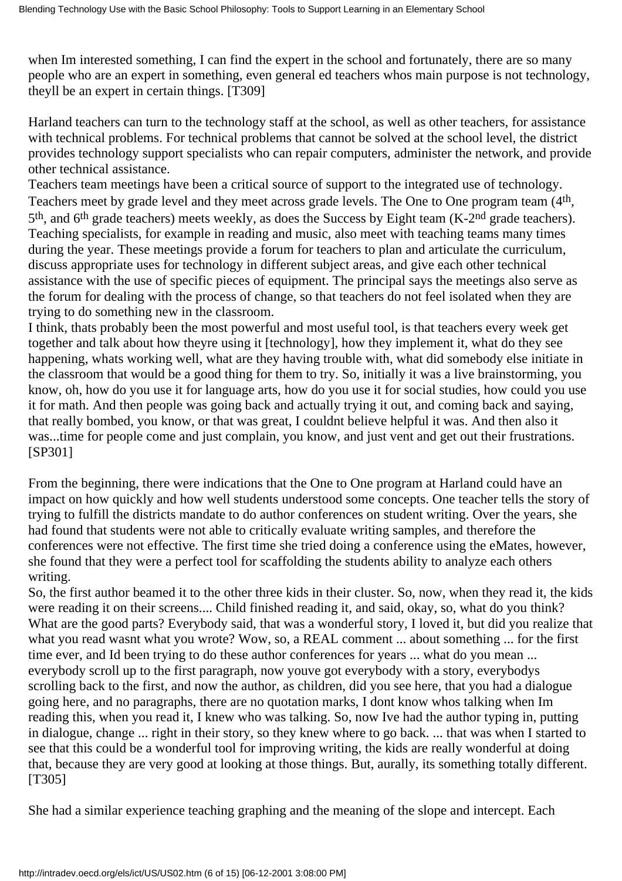when I m interested something, I can find the expert in the school and fortunately, there are so many people who are an expert in something, even general ed teachers whos main purpose is not technology, theyll be an expert in certain things. [T309]

Harland teachers can turn to the technology staff at the school, as well as other teachers, for assistance with technical problems. For technical problems that cannot be solved at the school level, the district provides technology support specialists who can repair computers, administer the network, and provide other technical assistance.

Teachers team meetings have been a critical source of support to the integrated use of technology. Teachers meet by grade level and they meet across grade levels. The One to One program team (4<sup>th</sup>, 5<sup>th</sup>, and 6<sup>th</sup> grade teachers) meets weekly, as does the Success by Eight team (K-2<sup>nd</sup> grade teachers). Teaching specialists, for example in reading and music, also meet with teaching teams many times during the year. These meetings provide a forum for teachers to plan and articulate the curriculum, discuss appropriate uses for technology in different subject areas, and give each other technical assistance with the use of specific pieces of equipment. The principal says the meetings also serve as the forum for dealing with the process of change, so that teachers do not feel isolated when they are trying to do something new in the classroom.

I think, that s probably been the most powerful and most useful tool, is that teachers every week get together and talk about how they re using it [technology], how they implement it, what do they see happening, what s working well, what are they having trouble with, what did somebody else initiate in the classroom that would be a good thing for them to try. So, initially it was a live brainstorming, you know, oh, how do you use it for language arts, how do you use it for social studies, how could you use it for math. And then people was going back and actually trying it out, and coming back and saying, that really bombed, you know, or that was great, I couldnt believe helpful it was. And then also it was...time for people come and just complain, you know, and just vent and get out their frustrations. [SP301]

From the beginning, there were indications that the One to One program at Harland could have an impact on how quickly and how well students understood some concepts. One teacher tells the story of trying to fulfill the district s mandate to do author conferences on student writing. Over the years, she had found that students were not able to critically evaluate writing samples, and therefore the conferences were not effective. The first time she tried doing a conference using the eMates, however, she found that they were a perfect tool for scaffolding the students ability to analyze each other s writing.

So, the first author beamed it to the other three kids in their cluster. So, now, when they read it, the kids were reading it on their screens.... Child finished reading it, and said, okay, so, what do you think? What are the good parts? Everybody said, that was a wonderful story, I loved it, but did you realize that what you read wasn t what you wrote? Wow, so, a REAL comment ... about something ... for the first time ever, and I d been trying to do these author conferences for years ... what do you mean ... everybody scroll up to the first paragraph, now you ve got everybody with a story, everybody s scrolling back to the first, and now the author, as children, did you see here, that you had a dialogue going here, and no paragraphs, there are no quotation marks, I dont know whos talking when Im reading this, when you read it, I knew who was talking. So, now I ve had the author typing in, putting in dialogue, change ... right in their story, so they knew where to go back. ... that was when I started to see that this could be a wonderful tool for improving writing, the kids are really wonderful at doing that, because they are very good at looking at those things. But, aurally, it s something totally different. [T305]

She had a similar experience teaching graphing and the meaning of the slope and intercept. Each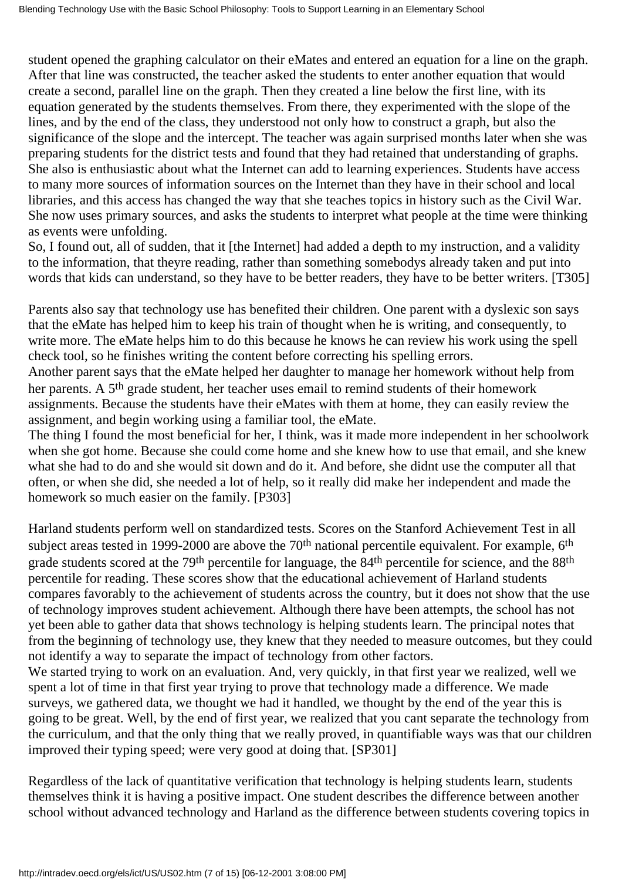student opened the graphing calculator on their eMates and entered an equation for a line on the graph. After that line was constructed, the teacher asked the students to enter another equation that would create a second, parallel line on the graph. Then they created a line below the first line, with its equation generated by the students themselves. From there, they experimented with the slope of the lines, and by the end of the class, they understood not only how to construct a graph, but also the significance of the slope and the intercept. The teacher was again surprised months later when she was preparing students for the district tests and found that they had retained that understanding of graphs. She also is enthusiastic about what the Internet can add to learning experiences. Students have access to many more sources of information sources on the Internet than they have in their school and local libraries, and this access has changed the way that she teaches topics in history such as the Civil War. She now uses primary sources, and asks the students to interpret what people at the time were thinking as events were unfolding.

So, I found out, all of sudden, that it [the Internet] had added a depth to my instruction, and a validity to the information, that they re reading, rather than something somebody s already taken and put into words that kids can understand, so they have to be better readers, they have to be better writers. [T305]

Parents also say that technology use has benefited their children. One parent with a dyslexic son says that the eMate has helped him to keep his train of thought when he is writing, and consequently, to write more. The eMate helps him to do this because he knows he can review his work using the spell check tool, so he finishes writing the content before correcting his spelling errors.

Another parent says that the eMate helped her daughter to manage her homework without help from her parents. A 5th grade student, her teacher uses email to remind students of their homework assignments. Because the students have their eMates with them at home, they can easily review the assignment, and begin working using a familiar tool, the eMate.

The thing I found the most beneficial for her, I think, was it made more independent in her schoolwork when she got home. Because she could come home and she knew how to use that email, and she knew what she had to do and she would sit down and do it. And before, she didn t use the computer all that often, or when she did, she needed a lot of help, so it really did make her independent and made the homework so much easier on the family. [P303]

Harland students perform well on standardized tests. Scores on the Stanford Achievement Test in all subject areas tested in 1999-2000 are above the  $70<sup>th</sup>$  national percentile equivalent. For example,  $6<sup>th</sup>$ grade students scored at the 79th percentile for language, the 84th percentile for science, and the 88th percentile for reading. These scores show that the educational achievement of Harland students compares favorably to the achievement of students across the country, but it does not show that the use of technology improves student achievement. Although there have been attempts, the school has not yet been able to gather data that shows technology is helping students learn. The principal notes that from the beginning of technology use, they knew that they needed to measure outcomes, but they could not identify a way to separate the impact of technology from other factors.

We started trying to work on an evaluation. And, very quickly, in that first year we realized, well we spent a lot of time in that first year trying to prove that technology made a difference. We made surveys, we gathered data, we thought we had it handled, we thought by the end of the year this is going to be great. Well, by the end of first year, we realized that you cant separate the technology from the curriculum, and that the only thing that we really proved, in quantifiable ways was that our children improved their typing speed; we re very good at doing that. [SP301]

Regardless of the lack of quantitative verification that technology is helping students learn, students themselves think it is having a positive impact. One student describes the difference between another school without advanced technology and Harland as the difference between students covering topics in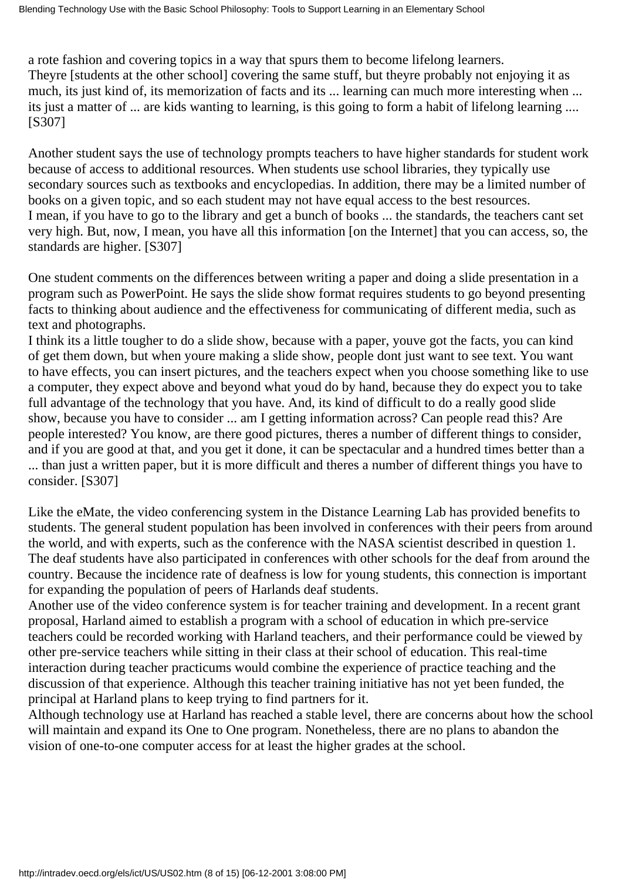a rote fashion and covering topics in a way that spurs them to become lifelong learners. They re [students at the other school] covering the same stuff, but they re probably not enjoying it as much, it s just kind of, it s memorization of facts and it s ... learning can much more interesting when ... it s just a matter of ... are kids wanting to learning, is this going to form a habit of lifelong learning .... [S307]

Another student says the use of technology prompts teachers to have higher standards for student work because of access to additional resources. When students use school libraries, they typically use secondary sources such as textbooks and encyclopedias. In addition, there may be a limited number of books on a given topic, and so each student may not have equal access to the best resources. I mean, if you have to go to the library and get a bunch of books ... the standards, the teachers cant set very high. But, now, I mean, you have all this information [on the Internet] that you can access, so, the standards are higher. [S307]

One student comments on the differences between writing a paper and doing a slide presentation in a program such as PowerPoint. He says the slide show format requires students to go beyond presenting facts to thinking about audience and the effectiveness for communicating of different media, such as text and photographs.

I think it s a little tougher to do a slide show, because with a paper, you ve got the facts, you can kind of get them down, but when youre making a slide show, people dont just want to see text. You want to have effects, you can insert pictures, and the teachers expect when you choose something like to use a computer, they expect above and beyond what youd do by hand, because they do expect you to take full advantage of the technology that you have. And, it s kind of difficult to do a really good slide show, because you have to consider ... am I getting information across? Can people read this? Are people interested? You know, are there good pictures, there s a number of different things to consider, and if you are good at that, and you get it done, it can be spectacular and a hundred times better than a ... than just a written paper, but it is more difficult and there s a number of different things you have to consider. [S307]

Like the eMate, the video conferencing system in the Distance Learning Lab has provided benefits to students. The general student population has been involved in conferences with their peers from around the world, and with experts, such as the conference with the NASA scientist described in question 1. The deaf students have also participated in conferences with other schools for the deaf from around the country. Because the incidence rate of deafness is low for young students, this connection is important for expanding the population of peers of Harland s deaf students.

Another use of the video conference system is for teacher training and development. In a recent grant proposal, Harland aimed to establish a program with a school of education in which pre-service teachers could be recorded working with Harland teachers, and their performance could be viewed by other pre-service teachers while sitting in their class at their school of education. This real-time interaction during teacher practicums would combine the experience of practice teaching and the discussion of that experience. Although this teacher training initiative has not yet been funded, the principal at Harland plans to keep trying to find partners for it.

Although technology use at Harland has reached a stable level, there are concerns about how the school will maintain and expand its One to One program. Nonetheless, there are no plans to abandon the vision of one-to-one computer access for at least the higher grades at the school.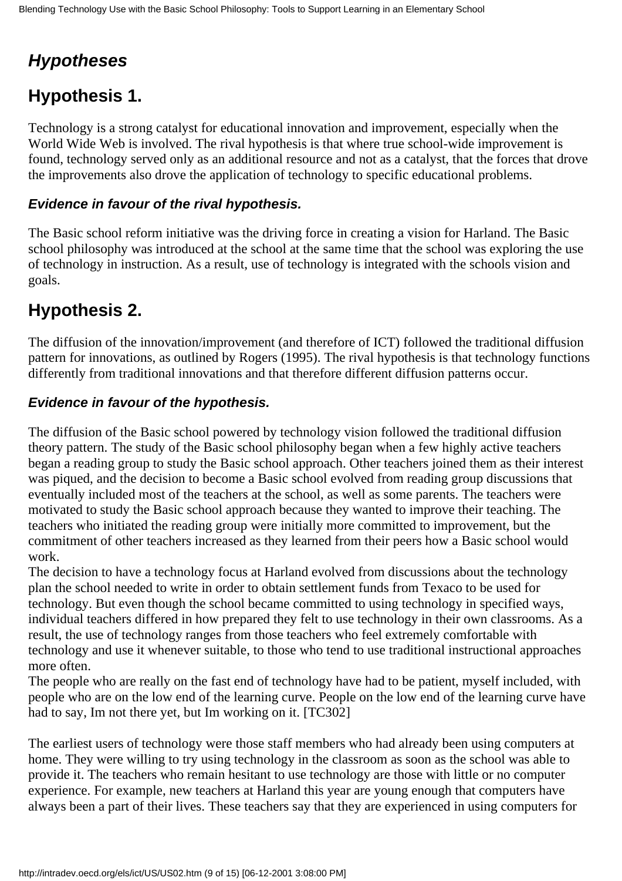# *Hypotheses*

# **Hypothesis 1.**

Technology is a strong catalyst for educational innovation and improvement, especially when the World Wide Web is involved. The rival hypothesis is that where true school-wide improvement is found, technology served only as an additional resource and not as a catalyst, that the forces that drove the improvements also drove the application of technology to specific educational problems.

#### **Evidence in favour of the rival hypothesis.**

The Basic school reform initiative was the driving force in creating a vision for Harland. The Basic school philosophy was introduced at the school at the same time that the school was exploring the use of technology in instruction. As a result, use of technology is integrated with the schools vision and goals.

### **Hypothesis 2.**

The diffusion of the innovation/improvement (and therefore of ICT) followed the traditional diffusion pattern for innovations, as outlined by Rogers (1995). The rival hypothesis is that technology functions differently from traditional innovations and that therefore different diffusion patterns occur.

#### **Evidence in favour of the hypothesis.**

The diffusion of the Basic school powered by technology vision followed the traditional diffusion theory pattern. The study of the Basic school philosophy began when a few highly active teachers began a reading group to study the Basic school approach. Other teachers joined them as their interest was piqued, and the decision to become a Basic school evolved from reading group discussions that eventually included most of the teachers at the school, as well as some parents. The teachers were motivated to study the Basic school approach because they wanted to improve their teaching. The teachers who initiated the reading group were initially more committed to improvement, but the commitment of other teachers increased as they learned from their peers how a Basic school would work.

The decision to have a technology focus at Harland evolved from discussions about the technology plan the school needed to write in order to obtain settlement funds from Texaco to be used for technology. But even though the school became committed to using technology in specified ways, individual teachers differed in how prepared they felt to use technology in their own classrooms. As a result, the use of technology ranges from those teachers who feel extremely comfortable with technology and use it whenever suitable, to those who tend to use traditional instructional approaches more often.

The people who are really on the fast end of technology have had to be patient, myself included, with people who are on the low end of the learning curve. People on the low end of the learning curve have had to say, I m not there yet, but I m working on it. [TC302]

The earliest users of technology were those staff members who had already been using computers at home. They were willing to try using technology in the classroom as soon as the school was able to provide it. The teachers who remain hesitant to use technology are those with little or no computer experience. For example, new teachers at Harland this year are young enough that computers have always been a part of their lives. These teachers say that they are experienced in using computers for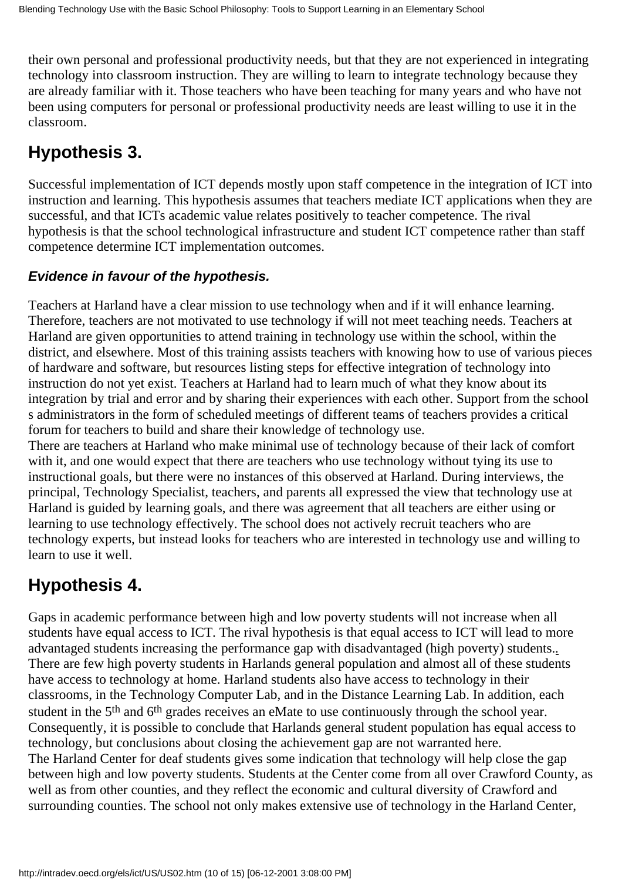their own personal and professional productivity needs, but that they are not experienced in integrating technology into classroom instruction. They are willing to learn to integrate technology because they are already familiar with it. Those teachers who have been teaching for many years and who have not been using computers for personal or professional productivity needs are least willing to use it in the classroom.

# **Hypothesis 3.**

Successful implementation of ICT depends mostly upon staff competence in the integration of ICT into instruction and learning. This hypothesis assumes that teachers mediate ICT applications when they are successful, and that ICT s academic value relates positively to teacher competence. The rival hypothesis is that the school technological infrastructure and student ICT competence rather than staff competence determine ICT implementation outcomes.

#### **Evidence in favour of the hypothesis.**

Teachers at Harland have a clear mission to use technology when and if it will enhance learning. Therefore, teachers are not motivated to use technology if will not meet teaching needs. Teachers at Harland are given opportunities to attend training in technology use within the school, within the district, and elsewhere. Most of this training assists teachers with knowing how to use of various pieces of hardware and software, but resources listing steps for effective integration of technology into instruction do not yet exist. Teachers at Harland had to learn much of what they know about its integration by trial and error and by sharing their experiences with each other. Support from the school s administrators in the form of scheduled meetings of different teams of teachers provides a critical forum for teachers to build and share their knowledge of technology use.

There are teachers at Harland who make minimal use of technology because of their lack of comfort with it, and one would expect that there are teachers who use technology without tying its use to instructional goals, but there were no instances of this observed at Harland. During interviews, the principal, Technology Specialist, teachers, and parents all expressed the view that technology use at Harland is guided by learning goals, and there was agreement that all teachers are either using or learning to use technology effectively. The school does not actively recruit teachers who are technology experts, but instead looks for teachers who are interested in technology use and willing to learn to use it well.

### **Hypothesis 4.**

Gaps in academic performance between high and low poverty students will not increase when all students have equal access to ICT. The rival hypothesis is that equal access to ICT will lead to more advantaged students increasing the performance gap with disadvantaged (high poverty) students.*.* There are few high poverty students in Harland s general population and almost all of these students have access to technology at home. Harland students also have access to technology in their classrooms, in the Technology Computer Lab, and in the Distance Learning Lab. In addition, each student in the 5<sup>th</sup> and 6<sup>th</sup> grades receives an eMate to use continuously through the school year. Consequently, it is possible to conclude that Harland s general student population has equal access to technology, but conclusions about closing the achievement gap are not warranted here. The Harland Center for deaf students gives some indication that technology will help close the gap between high and low poverty students. Students at the Center come from all over Crawford County, as well as from other counties, and they reflect the economic and cultural diversity of Crawford and surrounding counties. The school not only makes extensive use of technology in the Harland Center,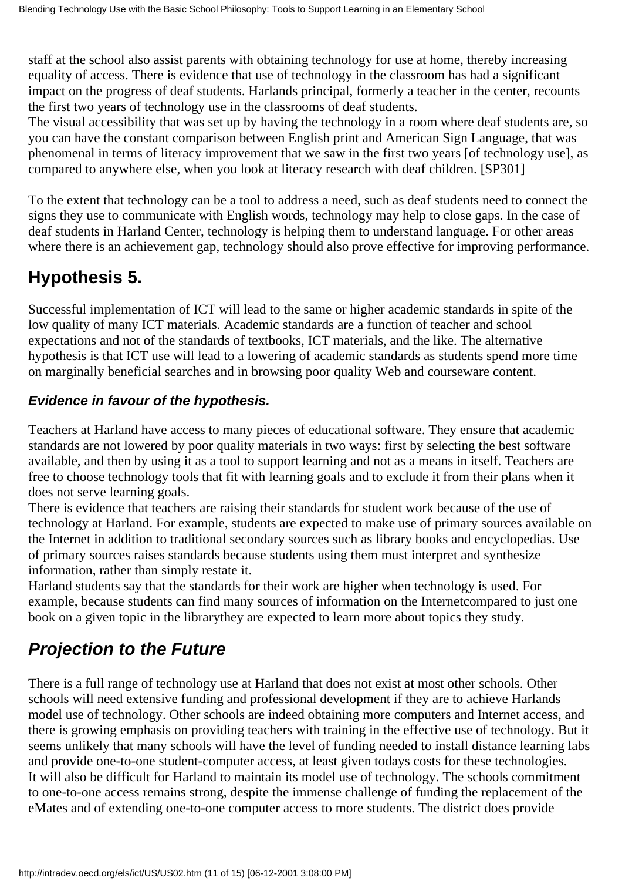staff at the school also assist parents with obtaining technology for use at home, thereby increasing equality of access. There is evidence that use of technology in the classroom has had a significant impact on the progress of deaf students. Harland s principal, formerly a teacher in the center, recounts the first two years of technology use in the classrooms of deaf students.

The visual accessibility that was set up by having the technology in a room where deaf students are, so you can have the constant comparison between English print and American Sign Language, that was phenomenal in terms of literacy improvement that we saw in the first two years [of technology use], as compared to anywhere else, when you look at literacy research with deaf children. [SP301]

To the extent that technology can be a tool to address a need, such as deaf students need to connect the signs they use to communicate with English words, technology may help to close gaps. In the case of deaf students in Harland Center, technology is helping them to understand language. For other areas where there is an achievement gap, technology should also prove effective for improving performance.

# **Hypothesis 5.**

Successful implementation of ICT will lead to the same or higher academic standards in spite of the low quality of many ICT materials. Academic standards are a function of teacher and school expectations and not of the standards of textbooks, ICT materials, and the like. The alternative hypothesis is that ICT use will lead to a lowering of academic standards as students spend more time on marginally beneficial searches and in browsing poor quality Web and courseware content.

#### **Evidence in favour of the hypothesis.**

Teachers at Harland have access to many pieces of educational software. They ensure that academic standards are not lowered by poor quality materials in two ways: first by selecting the best software available, and then by using it as a tool to support learning and not as a means in itself. Teachers are free to choose technology tools that fit with learning goals and to exclude it from their plans when it does not serve learning goals.

There is evidence that teachers are raising their standards for student work because of the use of technology at Harland. For example, students are expected to make use of primary sources available on the Internet in addition to traditional secondary sources such as library books and encyclopedias. Use of primary sources raises standards because students using them must interpret and synthesize information, rather than simply restate it.

Harland students say that the standards for their work are higher when technology is used. For example, because students can find many sources of information on the Internet compared to just one book on a given topic in the library they are expected to learn more about topics they study.

# *Projection to the Future*

There is a full range of technology use at Harland that does not exist at most other schools. Other schools will need extensive funding and professional development if they are to achieve Harland s model use of technology. Other schools are indeed obtaining more computers and Internet access, and there is growing emphasis on providing teachers with training in the effective use of technology. But it seems unlikely that many schools will have the level of funding needed to install distance learning labs and provide one-to-one student-computer access, at least given todays costs for these technologies. It will also be difficult for Harland to maintain its model use of technology. The school s commitment to one-to-one access remains strong, despite the immense challenge of funding the replacement of the eMates and of extending one-to-one computer access to more students. The district does provide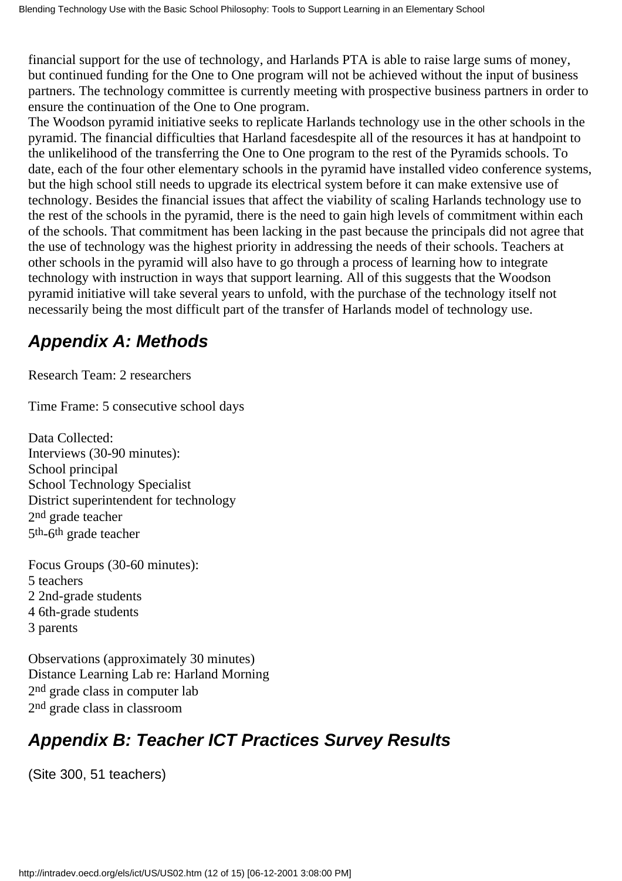financial support for the use of technology, and Harland s PTA is able to raise large sums of money, but continued funding for the One to One program will not be achieved without the input of business partners. The technology committee is currently meeting with prospective business partners in order to ensure the continuation of the One to One program.

The Woodson pyramid initiative seeks to replicate Harland s technology use in the other schools in the pyramid. The financial difficulties that Harland faces despite all of the resources it has at hand point to the unlikelihood of the transferring the One to One program to the rest of the Pyramid s schools. To date, each of the four other elementary schools in the pyramid have installed video conference systems, but the high school still needs to upgrade its electrical system before it can make extensive use of technology. Besides the financial issues that affect the viability of scaling Harland s technology use to the rest of the schools in the pyramid, there is the need to gain high levels of commitment within each of the schools. That commitment has been lacking in the past because the principals did not agree that the use of technology was the highest priority in addressing the needs of their schools. Teachers at other schools in the pyramid will also have to go through a process of learning how to integrate technology with instruction in ways that support learning. All of this suggests that the Woodson pyramid initiative will take several years to unfold, with the purchase of the technology itself not necessarily being the most difficult part of the transfer of Harland s model of technology use.

# *Appendix A: Methods*

Research Team: 2 researchers

Time Frame: 5 consecutive school days

Data Collected: Interviews (30-90 minutes): School principal School Technology Specialist District superintendent for technology 2nd grade teacher 5th-6th grade teacher

Focus Groups (30-60 minutes): 5 teachers 2 2nd-grade students 4 6th-grade students 3 parents

Observations (approximately 30 minutes) Distance Learning Lab re: Harland Morning 2nd grade class in computer lab 2nd grade class in classroom

# *Appendix B: Teacher ICT Practices Survey Results*

(Site 300, 51 teachers)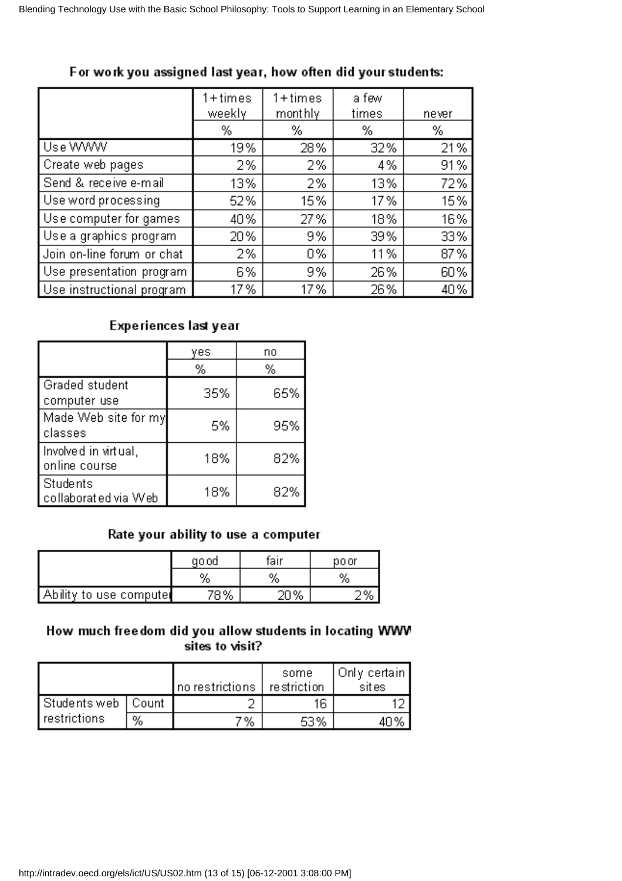|                            | $1 + times$<br>weekly | $1 + times$<br>mont hly | a few<br>times | never |
|----------------------------|-----------------------|-------------------------|----------------|-------|
|                            | %                     | %                       | %              | %     |
| Use WWW                    | 19%                   | 28%                     | 32%            | 21%   |
| Create web pages           | 2%                    | 2%                      | 4%             | 91%   |
| Send & receive e-mail      | 13%                   | 2%                      | 13%            | 72%   |
| Use word processing        | 52%                   | 15%                     | 17%            | 15%   |
| Use computer for games     | 40%                   | 27%                     | 18%            | 16%   |
| Use a graphics program     | 20%                   | 9%                      | 39%            | 33%   |
| Join on-line forum or chat | 2%                    | 0%                      | 11%            | 87%   |
| Use presentation program   | 6%                    | 9%                      | 26%            | 60%   |
| Use instructional program  | 17%                   | 17%                     | 26%            | 40%   |

#### For work you assigned last year, how often did your students:

#### Experiences last year

|                                       | yes | no  |
|---------------------------------------|-----|-----|
|                                       | %   | %   |
| Graded student<br>computer use        | 35% | 65% |
| Made Web site for my<br>l classes     | 5%  | 95% |
| Involved in virtual,<br>online course | 18% | 82% |
| Students<br>collaborated via Web      | 18% | 82% |

#### Rate your ability to use a computer

|                | go od  | fair | po or |  |
|----------------|--------|------|-------|--|
|                | %      | %    | %     |  |
| to use compute | 70 O.C | %    |       |  |

#### How much freedom did you allow students in locating WWW sites to visit?

|                      |   | no restrictions   restriction | some | Onlγ certain  <br>sites |
|----------------------|---|-------------------------------|------|-------------------------|
| Students web   Count |   |                               | 16   |                         |
| restrictions         | % | 7%                            | 53%  |                         |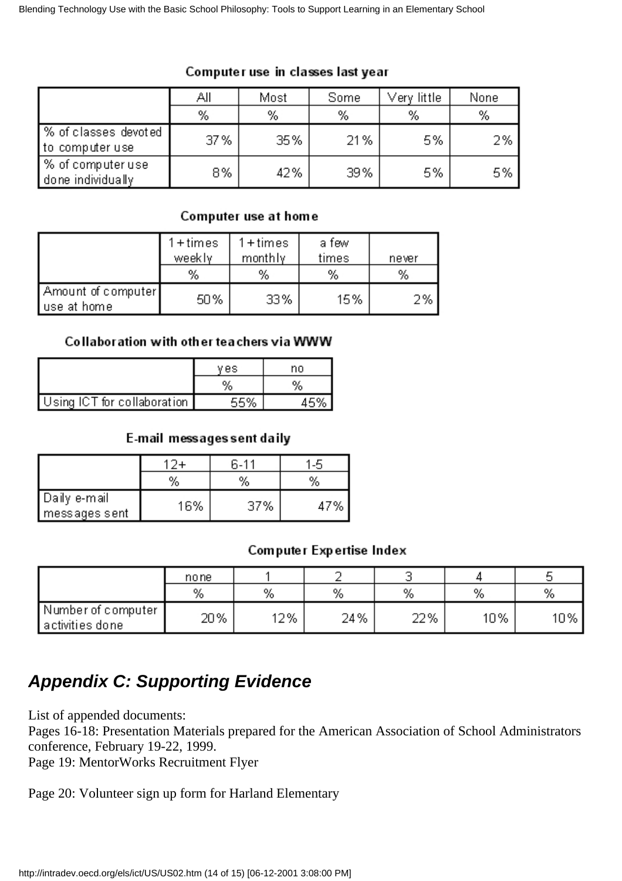|                                         | ΑIΙ | Most | Some | Very little: | None |
|-----------------------------------------|-----|------|------|--------------|------|
|                                         | %   | %    | %    | %            | %    |
| % of classes devoted<br>to computer use | 37% | 35%  | 21%  | 5%           | 2%   |
| % of computer use<br>done individually  | 8%  | 42%  | 39%  | 5%           | 5%   |

#### Computer use in classes last year

#### Computer use at home

|                                   | $1 + times$<br>weekly<br>% | $1 + times$<br>monthly<br>% | a few<br>times<br>% | never<br>% |
|-----------------------------------|----------------------------|-----------------------------|---------------------|------------|
| Amount of computer<br>use at home | 50%                        | 33%                         | 15%                 | 2%         |

#### Collaboration with other teachers via WWW

|                             | ves  | no |
|-----------------------------|------|----|
|                             |      |    |
| Using ICT for collaboration | E 07 |    |

#### E-mail messages sent daily

|                                  |     | հ.11 |    |
|----------------------------------|-----|------|----|
|                                  | %   | %    | %  |
| ∥Daily e-mail<br>  messages sent | 16% | 37%  | 7% |

#### Computer Expertise Index

|                                           | none |     |     | ັ   |     | ັ      |
|-------------------------------------------|------|-----|-----|-----|-----|--------|
|                                           | %    | %   | %   | %   | %   | %      |
| / Number of computer "<br>activities done | 20%  | 12% | 24% | 22% | 10% | $10\%$ |

### *Appendix C: Supporting Evidence*

List of appended documents:

Pages 16-18: Presentation Materials prepared for the American Association of School Administrators conference, February 19-22, 1999.

Page 19: MentorWorks Recruitment Flyer

Page 20: Volunteer sign up form for Harland Elementary